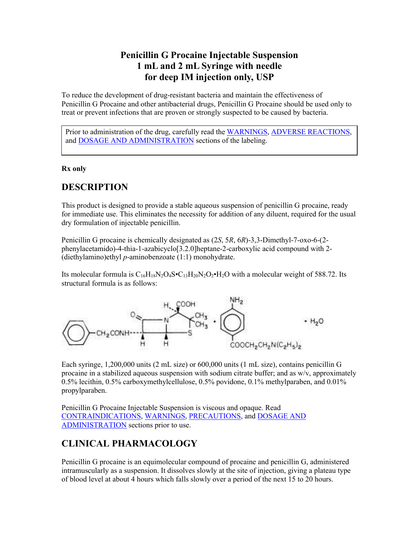# **Penicillin G Procaine Injectable Suspension 1 mL and 2 mL Syringe with needle for deep IM injection only, USP**

To reduce the development of drug-resistant bacteria and maintain the effectiveness of Penicillin G Procaine and other antibacterial drugs, Penicillin G Procaine should be used only to treat or prevent infections that are proven or strongly suspected to be caused by bacteria.

Prior to administration of the drug, carefully read the [WARNINGS,](#page-3-0) [ADVERSE REACTIONS,](#page-8-0) and [DOSAGE AND ADMINISTRATION](#page-9-0) sections of the labeling.

### **Rx only**

## **DESCRIPTION**

This product is designed to provide a stable aqueous suspension of penicillin G procaine, ready for immediate use. This eliminates the necessity for addition of any diluent, required for the usual dry formulation of injectable penicillin.

Penicillin G procaine is chemically designated as (2*S*, 5*R*, 6*R*)-3,3-Dimethyl-7-oxo-6-(2 phenylacetamido)-4-thia-1-azabicyclo[3.2.0]heptane-2-carboxylic acid compound with 2- (diethylamino)ethyl *p*-aminobenzoate (1:1) monohydrate.

Its molecular formula is  $C_{16}H_{18}N_2O_4S\cdot C_{13}H_{20}N_2O_2\cdot H_2O$  with a molecular weight of 588.72. Its structural formula is as follows:



Each syringe, 1,200,000 units (2 mL size) or 600,000 units (1 mL size), contains penicillin G procaine in a stabilized aqueous suspension with sodium citrate buffer; and as  $w/v$ , approximately 0.5% lecithin, 0.5% carboxymethylcellulose, 0.5% povidone, 0.1% methylparaben, and 0.01% propylparaben.

Penicillin G Procaine Injectable Suspension is viscous and opaque. Read [CONTRAINDICATIONS](#page-3-1), [WARNINGS,](#page-3-0) [PRECAUTIONS](#page-5-0), and [DOSAGE AND](#page-9-0)  [ADMINISTRATION](#page-9-0) sections prior to use.

## <span id="page-0-0"></span>**CLINICAL PHARMACOLOGY**

Penicillin G procaine is an equimolecular compound of procaine and penicillin G, administered intramuscularly as a suspension. It dissolves slowly at the site of injection, giving a plateau type of blood level at about 4 hours which falls slowly over a period of the next 15 to 20 hours.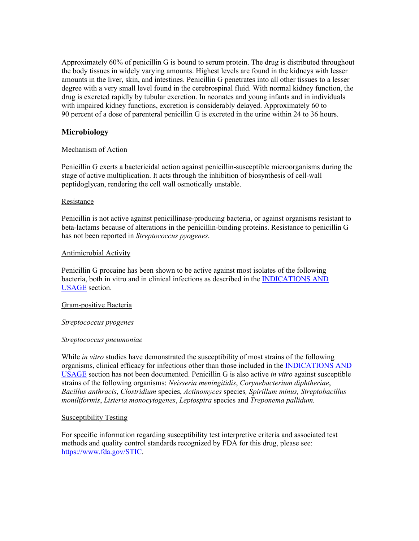Approximately 60% of penicillin G is bound to serum protein. The drug is distributed throughout the body tissues in widely varying amounts. Highest levels are found in the kidneys with lesser amounts in the liver, skin, and intestines. Penicillin G penetrates into all other tissues to a lesser degree with a very small level found in the cerebrospinal fluid. With normal kidney function, the drug is excreted rapidly by tubular excretion. In neonates and young infants and in individuals with impaired kidney functions, excretion is considerably delayed. Approximately 60 to 90 percent of a dose of parenteral penicillin G is excreted in the urine within 24 to 36 hours.

### **Microbiology**

#### Mechanism of Action

Penicillin G exerts a bactericidal action against penicillin-susceptible microorganisms during the stage of active multiplication. It acts through the inhibition of biosynthesis of cell-wall peptidoglycan, rendering the cell wall osmotically unstable.

#### Resistance

Penicillin is not active against penicillinase-producing bacteria, or against organisms resistant to beta-lactams because of alterations in the penicillin-binding proteins. Resistance to penicillin G has not been reported in *Streptococcus pyogenes*.

#### Antimicrobial Activity

Penicillin G procaine has been shown to be active against most isolates of the following bacteria, both in vitro and in clinical infections as described in the [INDICATIONS AND](#page-2-0)  [USAGE](#page-2-0) section.

#### Gram-positive Bacteria

#### *Streptococcus pyogenes*

#### *Streptococcus pneumoniae*

While *in vitro* studies have demonstrated the susceptibility of most strains of the following organisms, clinical efficacy for infections other than those included in the [INDICATIONS AND](#page-2-0)  [USAGE](#page-2-0) section has not been documented. Penicillin G is also active *in vitro* against susceptible strains of the following organisms: *Neisseria meningitidis*, *Corynebacterium diphtheriae*, *Bacillus anthracis*, *Clostridium* species, *Actinomyces* species*, Spirillum minus, Streptobacillus moniliformis*, *Listeria monocytogenes*, *Leptospira* species and *Treponema pallidum.*

#### Susceptibility Testing

For specific information regarding susceptibility test interpretive criteria and associated test methods and quality control standards recognized by FDA for this drug, please see: <https://www.fda.gov/STIC>.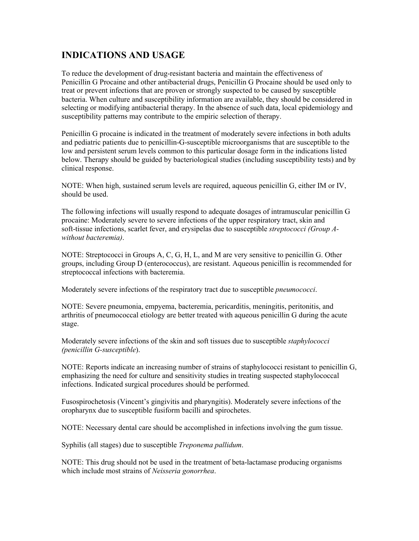# <span id="page-2-0"></span>**INDICATIONS AND USAGE**

To reduce the development of drug-resistant bacteria and maintain the effectiveness of Penicillin G Procaine and other antibacterial drugs, Penicillin G Procaine should be used only to treat or prevent infections that are proven or strongly suspected to be caused by susceptible bacteria. When culture and susceptibility information are available, they should be considered in selecting or modifying antibacterial therapy. In the absence of such data, local epidemiology and susceptibility patterns may contribute to the empiric selection of therapy.

Penicillin G procaine is indicated in the treatment of moderately severe infections in both adults and pediatric patients due to penicillin-G-susceptible microorganisms that are susceptible to the low and persistent serum levels common to this particular dosage form in the indications listed below. Therapy should be guided by bacteriological studies (including susceptibility tests) and by clinical response.

NOTE: When high, sustained serum levels are required, aqueous penicillin G, either IM or IV, should be used.

The following infections will usually respond to adequate dosages of intramuscular penicillin G procaine: Moderately severe to severe infections of the upper respiratory tract, skin and soft-tissue infections, scarlet fever, and erysipelas due to susceptible *streptococci (Group Awithout bacteremia)*.

NOTE: Streptococci in Groups A, C, G, H, L, and M are very sensitive to penicillin G. Other groups, including Group D (enterococcus), are resistant. Aqueous penicillin is recommended for streptococcal infections with bacteremia.

Moderately severe infections of the respiratory tract due to susceptible *pneumococci*.

NOTE: Severe pneumonia, empyema, bacteremia, pericarditis, meningitis, peritonitis, and arthritis of pneumococcal etiology are better treated with aqueous penicillin G during the acute stage.

Moderately severe infections of the skin and soft tissues due to susceptible *staphylococci (penicillin G-susceptible*).

NOTE: Reports indicate an increasing number of strains of staphylococci resistant to penicillin G, emphasizing the need for culture and sensitivity studies in treating suspected staphylococcal infections. Indicated surgical procedures should be performed.

Fusospirochetosis (Vincent's gingivitis and pharyngitis). Moderately severe infections of the oropharynx due to susceptible fusiform bacilli and spirochetes.

NOTE: Necessary dental care should be accomplished in infections involving the gum tissue.

Syphilis (all stages) due to susceptible *Treponema pallidum*.

NOTE: This drug should not be used in the treatment of beta-lactamase producing organisms which include most strains of *Neisseria gonorrhea*.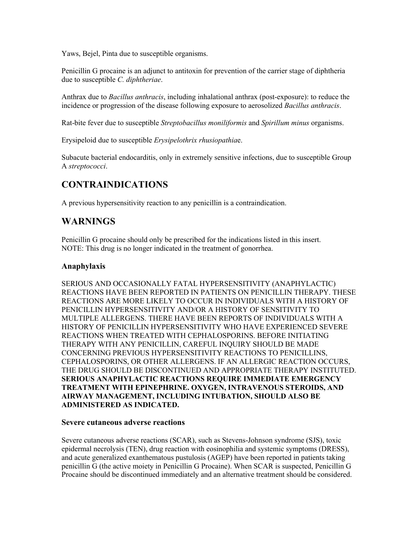Yaws, Bejel, Pinta due to susceptible organisms.

Penicillin G procaine is an adjunct to antitoxin for prevention of the carrier stage of diphtheria due to susceptible *C. diphtheriae*.

Anthrax due to *Bacillus anthracis*, including inhalational anthrax (post-exposure): to reduce the incidence or progression of the disease following exposure to aerosolized *Bacillus anthracis*.

Rat-bite fever due to susceptible *Streptobacillus moniliformis* and *Spirillum minus* organisms.

Erysipeloid due to susceptible *Erysipelothrix rhusiopathia*e.

Subacute bacterial endocarditis, only in extremely sensitive infections, due to susceptible Group A *streptococci*.

## <span id="page-3-1"></span>**CONTRAINDICATIONS**

A previous hypersensitivity reaction to any penicillin is a contraindication.

# <span id="page-3-0"></span>**WARNINGS**

Penicillin G procaine should only be prescribed for the indications listed in this insert. NOTE: This drug is no longer indicated in the treatment of gonorrhea.

### **Anaphylaxis**

SERIOUS AND OCCASIONALLY FATAL HYPERSENSITIVITY (ANAPHYLACTIC) REACTIONS HAVE BEEN REPORTED IN PATIENTS ON PENICILLIN THERAPY. THESE REACTIONS ARE MORE LIKELY TO OCCUR IN INDIVIDUALS WITH A HISTORY OF PENICILLIN HYPERSENSITIVITY AND/OR A HISTORY OF SENSITIVITY TO MULTIPLE ALLERGENS. THERE HAVE BEEN REPORTS OF INDIVIDUALS WITH A HISTORY OF PENICILLIN HYPERSENSITIVITY WHO HAVE EXPERIENCED SEVERE REACTIONS WHEN TREATED WITH CEPHALOSPORINS. BEFORE INITIATING THERAPY WITH ANY PENICILLIN, CAREFUL INQUIRY SHOULD BE MADE CONCERNING PREVIOUS HYPERSENSITIVITY REACTIONS TO PENICILLINS, CEPHALOSPORINS, OR OTHER ALLERGENS. IF AN ALLERGIC REACTION OCCURS, THE DRUG SHOULD BE DISCONTINUED AND APPROPRIATE THERAPY INSTITUTED. **SERIOUS ANAPHYLACTIC REACTIONS REQUIRE IMMEDIATE EMERGENCY TREATMENT WITH EPINEPHRINE. OXYGEN, INTRAVENOUS STEROIDS, AND AIRWAY MANAGEMENT, INCLUDING INTUBATION, SHOULD ALSO BE ADMINISTERED AS INDICATED.**

#### **Severe cutaneous adverse reactions**

Severe cutaneous adverse reactions (SCAR), such as Stevens-Johnson syndrome (SJS), toxic epidermal necrolysis (TEN), drug reaction with eosinophilia and systemic symptoms (DRESS), and acute generalized exanthematous pustulosis (AGEP) have been reported in patients taking penicillin G (the active moiety in Penicillin G Procaine). When SCAR is suspected, Penicillin G Procaine should be discontinued immediately and an alternative treatment should be considered.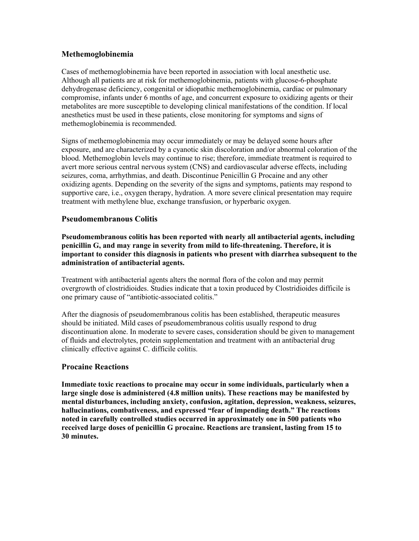## **Methemoglobinemia**

Cases of methemoglobinemia have been reported in association with local anesthetic use. Although all patients are at risk for methemoglobinemia, patients with glucose-6-phosphate dehydrogenase deficiency, congenital or idiopathic methemoglobinemia, cardiac or pulmonary compromise, infants under 6 months of age, and concurrent exposure to oxidizing agents or their metabolites are more susceptible to developing clinical manifestations of the condition. If local anesthetics must be used in these patients, close monitoring for symptoms and signs of methemoglobinemia is recommended.

Signs of methemoglobinemia may occur immediately or may be delayed some hours after exposure, and are characterized by a cyanotic skin discoloration and/or abnormal coloration of the blood. Methemoglobin levels may continue to rise; therefore, immediate treatment is required to avert more serious central nervous system (CNS) and cardiovascular adverse effects, including seizures, coma, arrhythmias, and death. Discontinue Penicillin G Procaine and any other oxidizing agents. Depending on the severity of the signs and symptoms, patients may respond to supportive care, i.e., oxygen therapy, hydration. A more severe clinical presentation may require treatment with methylene blue, exchange transfusion, or hyperbaric oxygen.

### **Pseudomembranous Colitis**

**Pseudomembranous colitis has been reported with nearly all antibacterial agents, including penicillin G, and may range in severity from mild to life-threatening. Therefore, it is important to consider this diagnosis in patients who present with diarrhea subsequent to the administration of antibacterial agents.**

Treatment with antibacterial agents alters the normal flora of the colon and may permit overgrowth of clostridioides. Studies indicate that a toxin produced by Clostridioides difficile is one primary cause of "antibiotic-associated colitis."

After the diagnosis of pseudomembranous colitis has been established, therapeutic measures should be initiated. Mild cases of pseudomembranous colitis usually respond to drug discontinuation alone. In moderate to severe cases, consideration should be given to management of fluids and electrolytes, protein supplementation and treatment with an antibacterial drug clinically effective against C. difficile colitis.

### **Procaine Reactions**

**Immediate toxic reactions to procaine may occur in some individuals, particularly when a large single dose is administered (4.8 million units). These reactions may be manifested by mental disturbances, including anxiety, confusion, agitation, depression, weakness, seizures, hallucinations, combativeness, and expressed "fear of impending death." The reactions noted in carefully controlled studies occurred in approximately one in 500 patients who received large doses of penicillin G procaine. Reactions are transient, lasting from 15 to 30 minutes.**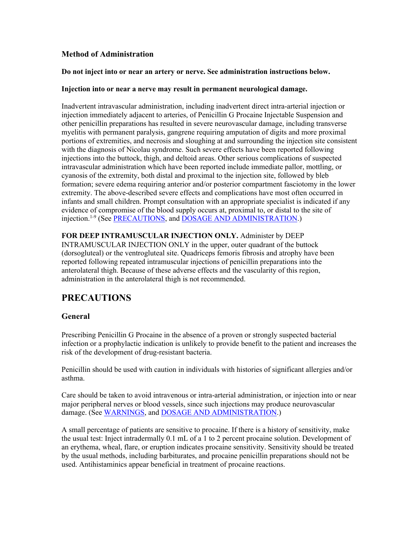## **Method of Administration**

### **Do not inject into or near an artery or nerve. See administration instructions below.**

### **Injection into or near a nerve may result in permanent neurological damage.**

Inadvertent intravascular administration, including inadvertent direct intra-arterial injection or injection immediately adjacent to arteries, of Penicillin G Procaine Injectable Suspension and other penicillin preparations has resulted in severe neurovascular damage, including transverse myelitis with permanent paralysis, gangrene requiring amputation of digits and more proximal portions of extremities, and necrosis and sloughing at and surrounding the injection site consistent with the diagnosis of Nicolau syndrome. Such severe effects have been reported following injections into the buttock, thigh, and deltoid areas. Other serious complications of suspected intravascular administration which have been reported include immediate pallor, mottling, or cyanosis of the extremity, both distal and proximal to the injection site, followed by bleb formation; severe edema requiring anterior and/or posterior compartment fasciotomy in the lower extremity. The above-described severe effects and complications have most often occurred in infants and small children. Prompt consultation with an appropriate specialist is indicated if any evidence of compromise of the blood supply occurs at, proximal to, or distal to the site of injection.<sup>1-9</sup> (See *[PRECAUTIONS](#page-5-0)*, and *DOSAGE AND ADMINISTRATION*.)

**FOR DEEP INTRAMUSCULAR INJECTION ONLY.** Administer by DEEP INTRAMUSCULAR INJECTION ONLY in the upper, outer quadrant of the buttock (dorsogluteal) or the ventrogluteal site. Quadriceps femoris fibrosis and atrophy have been reported following repeated intramuscular injections of penicillin preparations into the anterolateral thigh. Because of these adverse effects and the vascularity of this region, administration in the anterolateral thigh is not recommended.

# <span id="page-5-0"></span>**PRECAUTIONS**

### **General**

Prescribing Penicillin G Procaine in the absence of a proven or strongly suspected bacterial infection or a prophylactic indication is unlikely to provide benefit to the patient and increases the risk of the development of drug-resistant bacteria.

Penicillin should be used with caution in individuals with histories of significant allergies and/or asthma.

Care should be taken to avoid intravenous or intra-arterial administration, or injection into or near major peripheral nerves or blood vessels, since such injections may produce neurovascular damage. (See [WARNINGS](#page-3-0), and [DOSAGE AND ADMINISTRATION.](#page-9-0))

A small percentage of patients are sensitive to procaine. If there is a history of sensitivity, make the usual test: Inject intradermally 0.1 mL of a 1 to 2 percent procaine solution. Development of an erythema, wheal, flare, or eruption indicates procaine sensitivity. Sensitivity should be treated by the usual methods, including barbiturates, and procaine penicillin preparations should not be used. Antihistaminics appear beneficial in treatment of procaine reactions.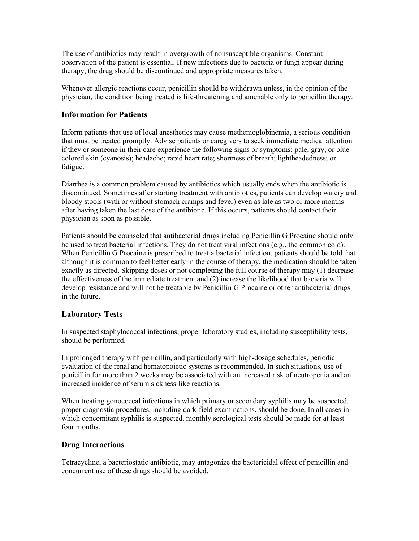The use of antibiotics may result in overgrowth of nonsusceptible organisms. Constant observation of the patient is essential. If new infections due to bacteria or fungi appear during therapy, the drug should be discontinued and appropriate measures taken.

Whenever allergic reactions occur, penicillin should be withdrawn unless, in the opinion of the physician, the condition being treated is life-threatening and amenable only to penicillin therapy.

### **Information for Patients**

Inform patients that use of local anesthetics may cause methemoglobinemia, a serious condition that must be treated promptly. Advise patients or caregivers to seek immediate medical attention if they or someone in their care experience the following signs or symptoms: pale, gray, or blue colored skin (cyanosis); headache; rapid heart rate; shortness of breath; lightheadedness; or fatigue.

Diarrhea is a common problem caused by antibiotics which usually ends when the antibiotic is discontinued. Sometimes after starting treatment with antibiotics, patients can develop watery and bloody stools (with or without stomach cramps and fever) even as late as two or more months after having taken the last dose of the antibiotic. If this occurs, patients should contact their physician as soon as possible.

Patients should be counseled that antibacterial drugs including Penicillin G Procaine should only be used to treat bacterial infections. They do not treat viral infections (e.g., the common cold). When Penicillin G Procaine is prescribed to treat a bacterial infection, patients should be told that although it is common to feel better early in the course of therapy, the medication should be taken exactly as directed. Skipping doses or not completing the full course of therapy may (1) decrease the effectiveness of the immediate treatment and (2) increase the likelihood that bacteria will develop resistance and will not be treatable by Penicillin G Procaine or other antibacterial drugs in the future.

### **Laboratory Tests**

In suspected staphylococcal infections, proper laboratory studies, including susceptibility tests, should be performed.

In prolonged therapy with penicillin, and particularly with high-dosage schedules, periodic evaluation of the renal and hematopoietic systems is recommended. In such situations, use of penicillin for more than 2 weeks may be associated with an increased risk of neutropenia and an increased incidence of serum sickness-like reactions.

When treating gonococcal infections in which primary or secondary syphilis may be suspected, proper diagnostic procedures, including dark-field examinations, should be done. In all cases in which concomitant syphilis is suspected, monthly serological tests should be made for at least four months.

### **Drug Interactions**

Tetracycline, a bacteriostatic antibiotic, may antagonize the bactericidal effect of penicillin and concurrent use of these drugs should be avoided.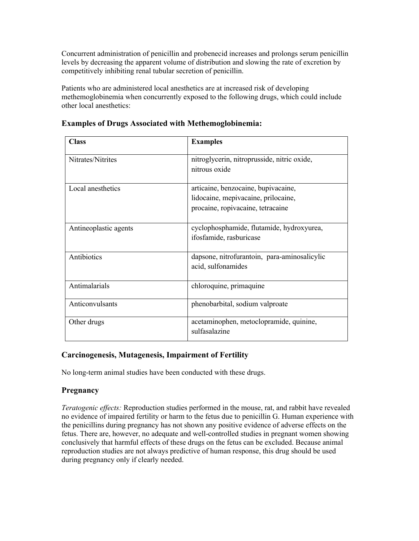Concurrent administration of penicillin and probenecid increases and prolongs serum penicillin levels by decreasing the apparent volume of distribution and slowing the rate of excretion by competitively inhibiting renal tubular secretion of penicillin.

Patients who are administered local anesthetics are at increased risk of developing methemoglobinemia when concurrently exposed to the following drugs, which could include other local anesthetics:

| <b>Class</b>          | <b>Examples</b>                                          |
|-----------------------|----------------------------------------------------------|
| Nitrates/Nitrites     | nitroglycerin, nitroprusside, nitric oxide,              |
|                       | nitrous oxide                                            |
| Local anesthetics     | articaine, benzocaine, bupivacaine,                      |
|                       | lidocaine, mepivacaine, prilocaine,                      |
|                       | procaine, ropivacaine, tetracaine                        |
| Antineoplastic agents | cyclophosphamide, flutamide, hydroxyurea,                |
|                       | ifosfamide, rasburicase                                  |
| Antibiotics           | dapsone, nitrofurantoin, para-aminosalicylic             |
|                       | acid, sulfonamides                                       |
| Antimalarials         | chloroquine, primaquine                                  |
| Anticonvulsants       | phenobarbital, sodium valproate                          |
| Other drugs           | acetaminophen, metoclopramide, quinine,<br>sulfasalazine |

## **Examples of Drugs Associated with Methemoglobinemia:**

## **Carcinogenesis, Mutagenesis, Impairment of Fertility**

No long-term animal studies have been conducted with these drugs.

## **Pregnancy**

*Teratogenic effects:* Reproduction studies performed in the mouse, rat, and rabbit have revealed no evidence of impaired fertility or harm to the fetus due to penicillin G. Human experience with the penicillins during pregnancy has not shown any positive evidence of adverse effects on the fetus. There are, however, no adequate and well-controlled studies in pregnant women showing conclusively that harmful effects of these drugs on the fetus can be excluded. Because animal reproduction studies are not always predictive of human response, this drug should be used during pregnancy only if clearly needed.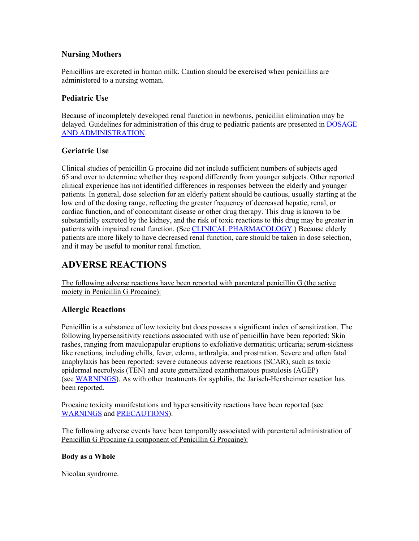## **Nursing Mothers**

Penicillins are excreted in human milk. Caution should be exercised when penicillins are administered to a nursing woman.

## **Pediatric Use**

Because of incompletely developed renal function in newborns, penicillin elimination may be delayed. Guidelines for administration of this drug to pediatric patients are presented in [DOSAGE](#page-9-0)  [AND ADMINISTRATION.](#page-9-0)

## **Geriatric Use**

Clinical studies of penicillin G procaine did not include sufficient numbers of subjects aged 65 and over to determine whether they respond differently from younger subjects. Other reported clinical experience has not identified differences in responses between the elderly and younger patients. In general, dose selection for an elderly patient should be cautious, usually starting at the low end of the dosing range, reflecting the greater frequency of decreased hepatic, renal, or cardiac function, and of concomitant disease or other drug therapy. This drug is known to be substantially excreted by the kidney, and the risk of toxic reactions to this drug may be greater in patients with impaired renal function. (See [CLINICAL PHARMACOLOGY.\)](#page-0-0) Because elderly patients are more likely to have decreased renal function, care should be taken in dose selection, and it may be useful to monitor renal function.

# <span id="page-8-0"></span>**ADVERSE REACTIONS**

The following adverse reactions have been reported with parenteral penicillin G (the active moiety in Penicillin G Procaine):

## **Allergic Reactions**

Penicillin is a substance of low toxicity but does possess a significant index of sensitization. The following hypersensitivity reactions associated with use of penicillin have been reported: Skin rashes, ranging from maculopapular eruptions to exfoliative dermatitis; urticaria; serum-sickness like reactions, including chills, fever, edema, arthralgia, and prostration. Severe and often fatal anaphylaxis has been reported: severe cutaneous adverse reactions (SCAR), such as toxic epidermal necrolysis (TEN) and acute generalized exanthematous pustulosis (AGEP) (see [WARNINGS\)](#page-3-0). As with other treatments for syphilis, the Jarisch-Herxheimer reaction has been reported.

Procaine toxicity manifestations and hypersensitivity reactions have been reported (see [WARNINGS](#page-3-0) and [PRECAUTIONS](#page-5-0)).

The following adverse events have been temporally associated with parenteral administration of Penicillin G Procaine (a component of Penicillin G Procaine):

### **Body as a Whole**

Nicolau syndrome.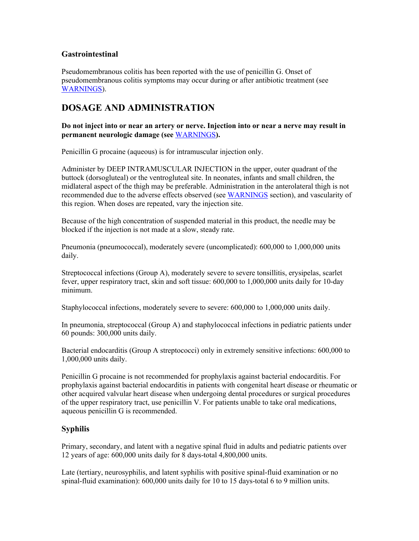## **Gastrointestinal**

Pseudomembranous colitis has been reported with the use of penicillin G. Onset of pseudomembranous colitis symptoms may occur during or after antibiotic treatment (see [WARNINGS](#page-3-0)).

# <span id="page-9-0"></span>**DOSAGE AND ADMINISTRATION**

**Do not inject into or near an artery or nerve. Injection into or near a nerve may result in permanent neurologic damage (see** [WARNINGS](#page-3-0)**).**

Penicillin G procaine (aqueous) is for intramuscular injection only.

Administer by DEEP INTRAMUSCULAR INJECTION in the upper, outer quadrant of the buttock (dorsogluteal) or the ventrogluteal site. In neonates, infants and small children, the midlateral aspect of the thigh may be preferable. Administration in the anterolateral thigh is not recommended due to the adverse effects observed (see WARNINGS section), and vascularity of this region. When doses are repeated, vary the injection site.

Because of the high concentration of suspended material in this product, the needle may be blocked if the injection is not made at a slow, steady rate.

Pneumonia (pneumococcal), moderately severe (uncomplicated): 600,000 to 1,000,000 units daily.

Streptococcal infections (Group A), moderately severe to severe tonsillitis, erysipelas, scarlet fever, upper respiratory tract, skin and soft tissue: 600,000 to 1,000,000 units daily for 10-day minimum.

Staphylococcal infections, moderately severe to severe: 600,000 to 1,000,000 units daily.

In pneumonia, streptococcal (Group A) and staphylococcal infections in pediatric patients under 60 pounds: 300,000 units daily.

Bacterial endocarditis (Group A streptococci) only in extremely sensitive infections: 600,000 to 1,000,000 units daily.

Penicillin G procaine is not recommended for prophylaxis against bacterial endocarditis. For prophylaxis against bacterial endocarditis in patients with congenital heart disease or rheumatic or other acquired valvular heart disease when undergoing dental procedures or surgical procedures of the upper respiratory tract, use penicillin V. For patients unable to take oral medications, aqueous penicillin G is recommended.

## **Syphilis**

Primary, secondary, and latent with a negative spinal fluid in adults and pediatric patients over 12 years of age: 600,000 units daily for 8 days-total 4,800,000 units.

Late (tertiary, neurosyphilis, and latent syphilis with positive spinal-fluid examination or no spinal-fluid examination): 600,000 units daily for 10 to 15 days-total 6 to 9 million units.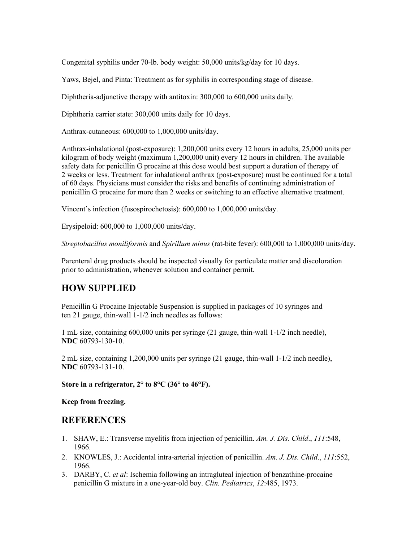Congenital syphilis under 70-lb. body weight: 50,000 units/kg/day for 10 days.

Yaws, Bejel, and Pinta: Treatment as for syphilis in corresponding stage of disease.

Diphtheria-adjunctive therapy with antitoxin: 300,000 to 600,000 units daily.

Diphtheria carrier state: 300,000 units daily for 10 days.

Anthrax-cutaneous: 600,000 to 1,000,000 units/day.

Anthrax-inhalational (post-exposure): 1,200,000 units every 12 hours in adults, 25,000 units per kilogram of body weight (maximum 1,200,000 unit) every 12 hours in children. The available safety data for penicillin G procaine at this dose would best support a duration of therapy of 2 weeks or less. Treatment for inhalational anthrax (post-exposure) must be continued for a total of 60 days. Physicians must consider the risks and benefits of continuing administration of penicillin G procaine for more than 2 weeks or switching to an effective alternative treatment.

Vincent's infection (fusospirochetosis): 600,000 to 1,000,000 units/day.

Erysipeloid: 600,000 to 1,000,000 units/day.

*Streptobacillus moniliformis* and *Spirillum minus* (rat-bite fever): 600,000 to 1,000,000 units/day.

Parenteral drug products should be inspected visually for particulate matter and discoloration prior to administration, whenever solution and container permit.

# **HOW SUPPLIED**

Penicillin G Procaine Injectable Suspension is supplied in packages of 10 syringes and ten 21 gauge, thin-wall 1-1/2 inch needles as follows:

1 mL size, containing 600,000 units per syringe (21 gauge, thin-wall 1-1/2 inch needle), **NDC** 60793-130-10.

2 mL size, containing 1,200,000 units per syringe (21 gauge, thin-wall 1-1/2 inch needle), **NDC** 60793-131-10.

**Store in a refrigerator, 2° to 8°C (36° to 46°F).**

**Keep from freezing.**

# **REFERENCES**

- 1. SHAW, E.: Transverse myelitis from injection of penicillin. *Am. J. Dis. Child*., *111*:548, 1966.
- 2. KNOWLES, J.: Accidental intra-arterial injection of penicillin. *Am. J. Dis. Child*., *111*:552, 1966.
- 3. DARBY, C. *et al*: Ischemia following an intragluteal injection of benzathine-procaine penicillin G mixture in a one-year-old boy. *Clin. Pediatrics*, *12*:485, 1973.